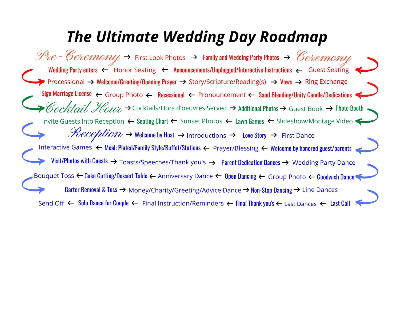# **The Ultimate Wedding Day Roadmap**

 $\mathcal{P}_{\mathcal{U}}$  - Ceremony  $\rightarrow$  First Look Photos  $\rightarrow$  Family and Wedding Party Photos  $\rightarrow$  Ceremony Wedding Party enters < Honor Seating < Announcements/Unplugged/Interactive Instructions < Guest Seating Processional → Welcome/Greeting/Opening Prayer → Story/Scripture/Reading(s) → Vows → Ring Exchange Sign Marriage License  $\leftarrow$  Group Photo  $\leftarrow$  Recessional  $\leftarrow$  Pronouncement  $\leftarrow$  Sand Blending/Unity Candle/Dedications Cocktail Hour > Cocktails/Hors d'oeuvres Served > Additional Photos > Guest Book > Photo Booth Invite Guests into Reception ← Seating Chart ← Sunset Photos ← Lawn Games ← Slideshow/Montage Video  $\mathcal{H}eception$   $\rightarrow$  Welcome by Host  $\rightarrow$  Introductions  $\rightarrow$  Love Story  $\rightarrow$  First Dance Interactive Games < Meal: Plated/Family Style/Buffet/Stations < Prayer/Blessing < Welcome by honored guest/parents Visit/Photos with Guests > Toasts/Speeches/Thank you's > Parent Dedication Dances > Wedding Party Dance Bouquet Toss ← Cake Cutting/Dessert Table ← Anniversary Dance ← Open Dancing ← Group Photo ← Goodwish Dance Garter Removal & Toss  $\rightarrow$  Money/Charity/Greeting/Advice Dance  $\rightarrow$  Non-Stop Dancing  $\rightarrow$  Line Dances Send Off  $\leftarrow$  Solo Dance for Couple  $\leftarrow$  Final Instruction/Reminders  $\leftarrow$  Final Thank you's  $\leftarrow$  Last Dances  $\leftarrow$  Last Call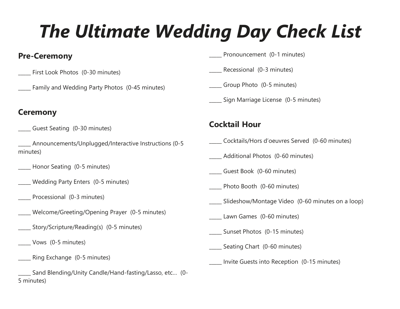# *The Ultimate Wedding Day Check List*

### **Pre-Ceremony**

- First Look Photos (0-30 minutes)
	- Family and Wedding Party Photos (0-45 minutes)

#### **Ceremony**

- Guest Seating (0-30 minutes)
- \_\_\_\_\_ Announcements/Unplugged/Interactive Instructions (0-5 minutes)
- \_\_\_\_\_ Honor Seating (0-5 minutes)
- \_\_\_\_\_ Wedding Party Enters (0-5 minutes)
	- Processional (0-3 minutes)
- Welcome/Greeting/Opening Prayer (0-5 minutes)
- \_\_\_\_\_ Story/Scripture/Reading(s) (0-5 minutes)
	- \_\_\_\_\_ Vows (0-5 minutes)
- Ring Exchange (0-5 minutes)
- Sand Blending/Unity Candle/Hand-fasting/Lasso, etc... (0-5 minutes)
- Pronouncement (0-1 minutes)
- Recessional (0-3 minutes)
- \_\_\_\_\_ Group Photo (0-5 minutes)
- \_\_\_\_\_ Sign Marriage License (0-5 minutes)

## **Cocktail Hour**

- \_\_\_\_\_ Cocktails/Hors d'oeuvres Served (0-60 minutes)
- \_\_\_\_\_ Additional Photos (0-60 minutes)
- \_\_\_\_\_ Guest Book (0-60 minutes)
- \_\_\_\_\_ Photo Booth (0-60 minutes)
- Slideshow/Montage Video (0-60 minutes on a loop)
- Lawn Games (0-60 minutes)
- \_\_\_\_\_ Sunset Photos (0-15 minutes)
- \_\_\_\_\_ Seating Chart (0-60 minutes)
- \_\_\_\_\_ Invite Guests into Reception (0-15 minutes)